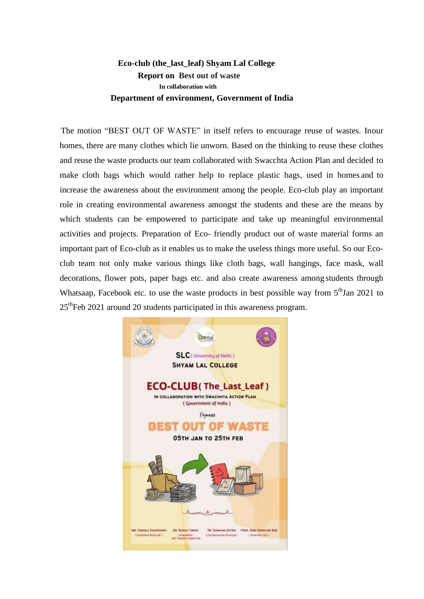## **Eco-club (the\_last\_leaf) Shyam Lal College Report on Best out of waste In collaboration with Department of environment, Government of India**

The motion "BEST OUT OF WASTE" in itself refers to encourage reuse of wastes. Inour homes, there are many clothes which lie unworn. Based on the thinking to reuse these clothes and reuse the waste products our team collaborated with Swacchta Action Plan and decided to make cloth bags which would rather help to replace plastic bags, used in homes and to increase the awareness about the environment among the people. Eco-club play an important role in creating environmental awareness amongst the students and these are the means by which students can be empowered to participate and take up meaningful environmental activities and projects. Preparation of Eco- friendly product out of waste material forms an important part of Eco-club as it enables us to make the useless things more useful. So our Ecoclub team not only make various things like cloth bags, wall hangings, face mask, wall decorations, flower pots, paper bags etc. and also create awareness among students through Whatsaap, Facebook etc. to use the waste products in best possible way from  $5<sup>th</sup>$  Jan 2021 to  $25<sup>th</sup>$ Feb 2021 around 20 students participated in this awareness program.